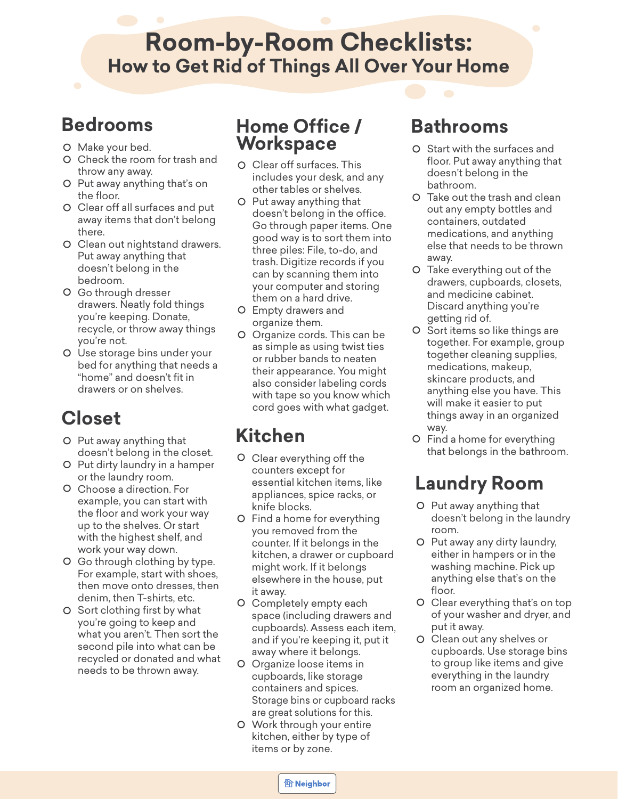# **Room-by-Room Checklists: How to Get Rid of Things All Over Your Home**

### **Bedrooms**

- O Make your bed.
- Check the room for trash and throw any away.
- O Put away anything that's on the floor.
- Clear off all surfaces and put away items that don't belong there.
- O Clean out nightstand drawers. Put away anything that doesn't belong in the bedroom.
- Go through dresser drawers. Neatly fold things you're keeping. Donate, recycle, or throw away things you're not.
- Use storage bins under your bed for anything that needs a "home" and doesn't fit in drawers or on shelves.

# **Closet**

- Put away anything that **Kitchen** doesn't belong in the closet.
- O Put dirty laundry in a hamper or the laundry room.
- Choose a direction. For example, you can start with the floor and work your way up to the shelves. Or start with the highest shelf, and work your way down.
- Go through clothing by type. For example, start with shoes, then move onto dresses, then denim, then T-shirts, etc.
- O Sort clothing first by what you're going to keep and what you aren't. Then sort the second pile into what can be recycled or donated and what needs to be thrown away.

#### **Home Office / Workspace**

- Clear off surfaces. This includes your desk, and any other tables or shelves.
- O Put away anything that doesn't belong in the office. Go through paper items. One good way is to sort them into three piles: File, to-do, and trash. Digitize records if you can by scanning them into your computer and storing them on a hard drive.
- Empty drawers and organize them.
- Organize cords. This can be as simple as using twist ties or rubber bands to neaten their appearance. You might also consider labeling cords with tape so you know which cord goes with what gadget.

- Clear everything off the counters except for essential kitchen items, like appliances, spice racks, or knife blocks.
- Find a home for everything you removed from the counter. If it belongs in the kitchen, a drawer or cupboard might work. If it belongs elsewhere in the house, put it away.
- Completely empty each space (including drawers and cupboards). Assess each item, and if you're keeping it, put it away where it belongs.
- Organize loose items in cupboards, like storage containers and spices. Storage bins or cupboard racks are great solutions for this.
- Work through your entire kitchen, either by type of items or by zone.

#### **Bathrooms**

- O Start with the surfaces and floor. Put away anything that doesn't belong in the bathroom.
- Take out the trash and clean out any empty bottles and containers, outdated medications, and anything else that needs to be thrown away.
- O Take everything out of the drawers, cupboards, closets, and medicine cabinet. Discard anything you're getting rid of.
- O Sort items so like things are together. For example, group together cleaning supplies, medications, makeup, skincare products, and anything else you have. This will make it easier to put things away in an organized way.
- Find a home for everything that belongs in the bathroom.

# **Laundry Room**

- O Put away anything that doesn't belong in the laundry room.
- O Put away any dirty laundry, either in hampers or in the washing machine. Pick up anything else that's on the floor.
- Clear everything that's on top of your washer and dryer, and put it away.
- Clean out any shelves or cupboards. Use storage bins to group like items and give everything in the laundry room an organized home.

**个 Neighbor**